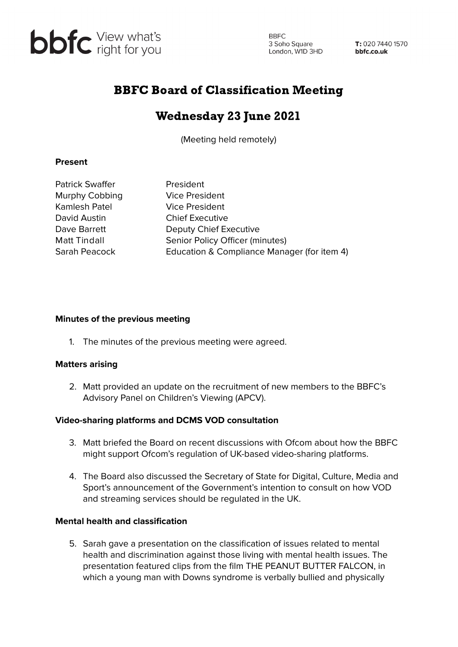

**BBFC** 3 Soho Square<br>London, W1D 3HD 3 Soho Square

T: 020 7440 1570 bbfc.co.uk

# BBFC Board of Classification Meeting

## Wednesday 23 June 2021

(Meeting held remotely)

#### **Present**

Patrick Swaffer President Murphy Cobbing Vice President Kamlesh Patel Vice President David Austin Chief Executive

Dave Barrett Deputy Chief Executive Matt Tindall Senior Policy Officer (minutes) Sarah Peacock Education & Compliance Manager (for item 4)

#### **Minutes of the previous meeting**

1. The minutes of the previous meeting were agreed.

### **Matters arising**

2. Matt provided an update on the recruitment of new members to the BBFC's Advisory Panel on Children's Viewing (APCV).

### **Video-sharing platforms and DCMS VOD consultation**

- 3. Matt briefed the Board on recent discussions with Ofcom about how the BBFC might support Ofcom's regulation of UK-based video-sharing platforms.
- 4. The Board also discussed the Secretary of State for Digital, Culture, Media and Sport's announcement of the Government's intention to consult on how VOD and streaming services should be regulated in the UK.

#### **Mental health and classification**

5. Sarah gave a presentation on the classification of issues related to mental health and discrimination against those living with mental health issues. The presentation featured clips from the film THE PEANUT BUTTER FALCON, in which a young man with Downs syndrome is verbally bullied and physically